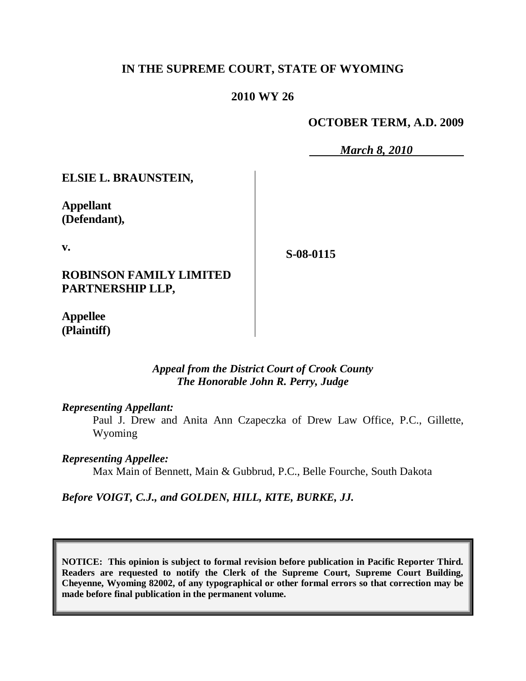## **IN THE SUPREME COURT, STATE OF WYOMING**

#### **2010 WY 26**

**OCTOBER TERM, A.D. 2009**

*March 8, 2010*

**ELSIE L. BRAUNSTEIN,**

**Appellant (Defendant),**

**v.**

**S-08-0115**

**ROBINSON FAMILY LIMITED PARTNERSHIP LLP,**

**Appellee (Plaintiff)**

> *Appeal from the District Court of Crook County The Honorable John R. Perry, Judge*

*Representing Appellant:*

Paul J. Drew and Anita Ann Czapeczka of Drew Law Office, P.C., Gillette, Wyoming

*Representing Appellee:*

Max Main of Bennett, Main & Gubbrud, P.C., Belle Fourche, South Dakota

*Before VOIGT, C.J., and GOLDEN, HILL, KITE, BURKE, JJ.*

**NOTICE: This opinion is subject to formal revision before publication in Pacific Reporter Third. Readers are requested to notify the Clerk of the Supreme Court, Supreme Court Building, Cheyenne, Wyoming 82002, of any typographical or other formal errors so that correction may be made before final publication in the permanent volume.**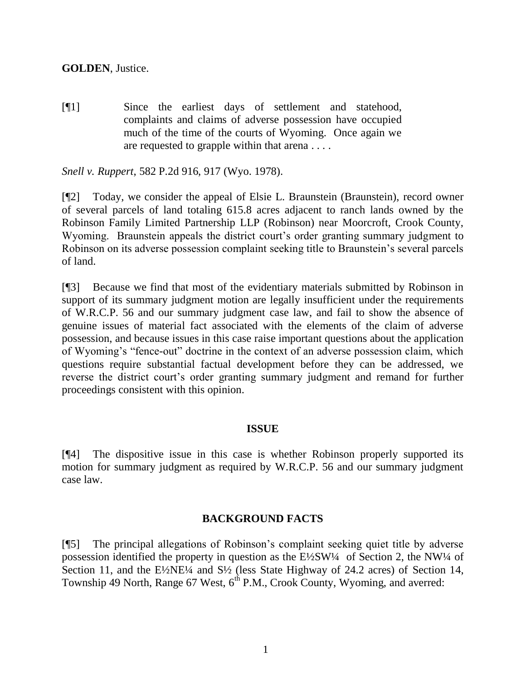[¶1] Since the earliest days of settlement and statehood, complaints and claims of adverse possession have occupied much of the time of the courts of Wyoming. Once again we are requested to grapple within that arena . . . .

*Snell v. Ruppert*, 582 P.2d 916, 917 (Wyo. 1978).

[¶2] Today, we consider the appeal of Elsie L. Braunstein (Braunstein), record owner of several parcels of land totaling 615.8 acres adjacent to ranch lands owned by the Robinson Family Limited Partnership LLP (Robinson) near Moorcroft, Crook County, Wyoming. Braunstein appeals the district court's order granting summary judgment to Robinson on its adverse possession complaint seeking title to Braunstein"s several parcels of land.

[¶3] Because we find that most of the evidentiary materials submitted by Robinson in support of its summary judgment motion are legally insufficient under the requirements of W.R.C.P. 56 and our summary judgment case law, and fail to show the absence of genuine issues of material fact associated with the elements of the claim of adverse possession, and because issues in this case raise important questions about the application of Wyoming"s "fence-out" doctrine in the context of an adverse possession claim, which questions require substantial factual development before they can be addressed, we reverse the district court's order granting summary judgment and remand for further proceedings consistent with this opinion.

#### **ISSUE**

[¶4] The dispositive issue in this case is whether Robinson properly supported its motion for summary judgment as required by W.R.C.P. 56 and our summary judgment case law.

## **BACKGROUND FACTS**

[¶5] The principal allegations of Robinson"s complaint seeking quiet title by adverse possession identified the property in question as the  $E\frac{\sqrt{2}}{3}W^{\frac{1}{4}}$  of Section 2, the NW<sup>1</sup>/4 of Section 11, and the E½NE¼ and S<sup>1</sup>/<sub>2</sub> (less State Highway of 24.2 acres) of Section 14, Township 49 North, Range 67 West, 6<sup>th</sup> P.M., Crook County, Wyoming, and averred: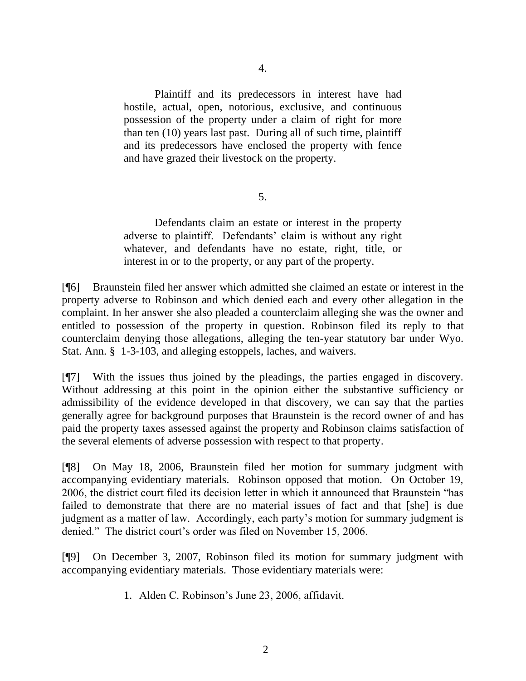Plaintiff and its predecessors in interest have had hostile, actual, open, notorious, exclusive, and continuous possession of the property under a claim of right for more than ten (10) years last past. During all of such time, plaintiff and its predecessors have enclosed the property with fence and have grazed their livestock on the property.

5.

Defendants claim an estate or interest in the property adverse to plaintiff. Defendants' claim is without any right whatever, and defendants have no estate, right, title, or interest in or to the property, or any part of the property.

[¶6] Braunstein filed her answer which admitted she claimed an estate or interest in the property adverse to Robinson and which denied each and every other allegation in the complaint. In her answer she also pleaded a counterclaim alleging she was the owner and entitled to possession of the property in question. Robinson filed its reply to that counterclaim denying those allegations, alleging the ten-year statutory bar under Wyo. Stat. Ann. § 1-3-103, and alleging estoppels, laches, and waivers.

[¶7] With the issues thus joined by the pleadings, the parties engaged in discovery. Without addressing at this point in the opinion either the substantive sufficiency or admissibility of the evidence developed in that discovery, we can say that the parties generally agree for background purposes that Braunstein is the record owner of and has paid the property taxes assessed against the property and Robinson claims satisfaction of the several elements of adverse possession with respect to that property.

[¶8] On May 18, 2006, Braunstein filed her motion for summary judgment with accompanying evidentiary materials. Robinson opposed that motion. On October 19, 2006, the district court filed its decision letter in which it announced that Braunstein "has failed to demonstrate that there are no material issues of fact and that [she] is due judgment as a matter of law. Accordingly, each party"s motion for summary judgment is denied." The district court's order was filed on November 15, 2006.

[¶9] On December 3, 2007, Robinson filed its motion for summary judgment with accompanying evidentiary materials. Those evidentiary materials were:

1. Alden C. Robinson"s June 23, 2006, affidavit.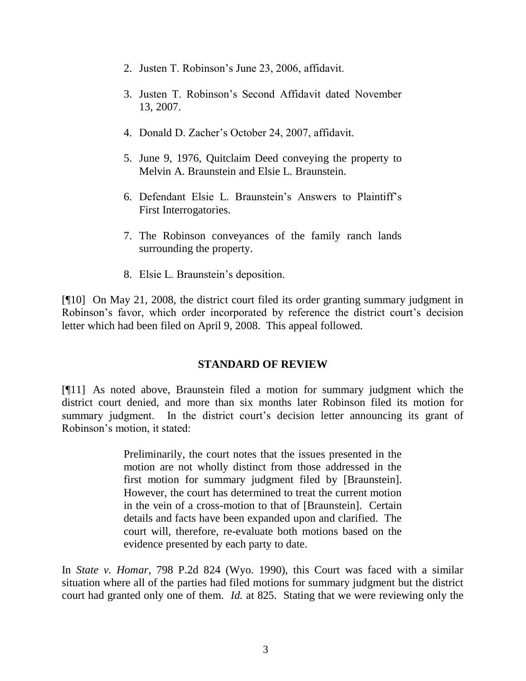- 2. Justen T. Robinson"s June 23, 2006, affidavit.
- 3. Justen T. Robinson"s Second Affidavit dated November 13, 2007.
- 4. Donald D. Zacher"s October 24, 2007, affidavit.
- 5. June 9, 1976, Quitclaim Deed conveying the property to Melvin A. Braunstein and Elsie L. Braunstein.
- 6. Defendant Elsie L. Braunstein"s Answers to Plaintiff"s First Interrogatories.
- 7. The Robinson conveyances of the family ranch lands surrounding the property.
- 8. Elsie L. Braunstein"s deposition.

[¶10] On May 21, 2008, the district court filed its order granting summary judgment in Robinson's favor, which order incorporated by reference the district court's decision letter which had been filed on April 9, 2008. This appeal followed.

#### **STANDARD OF REVIEW**

[¶11] As noted above, Braunstein filed a motion for summary judgment which the district court denied, and more than six months later Robinson filed its motion for summary judgment. In the district court's decision letter announcing its grant of Robinson"s motion, it stated:

> Preliminarily, the court notes that the issues presented in the motion are not wholly distinct from those addressed in the first motion for summary judgment filed by [Braunstein]. However, the court has determined to treat the current motion in the vein of a cross-motion to that of [Braunstein]. Certain details and facts have been expanded upon and clarified. The court will, therefore, re-evaluate both motions based on the evidence presented by each party to date.

In *State v. Homar*, 798 P.2d 824 (Wyo. 1990), this Court was faced with a similar situation where all of the parties had filed motions for summary judgment but the district court had granted only one of them. *Id.* at 825. Stating that we were reviewing only the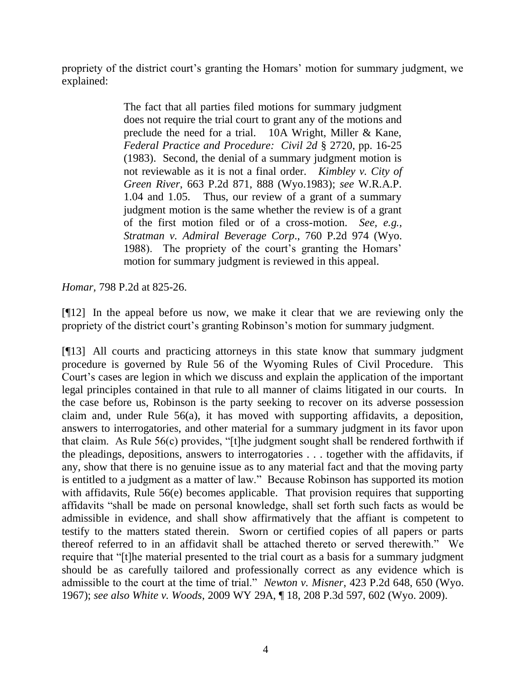propriety of the district court's granting the Homars' motion for summary judgment, we explained:

> The fact that all parties filed motions for summary judgment does not require the trial court to grant any of the motions and preclude the need for a trial. 10A Wright, Miller & Kane, *Federal Practice and Procedure: Civil 2d* § 2720, pp. 16-25 (1983). Second, the denial of a summary judgment motion is not reviewable as it is not a final order. *Kimbley v. City of Green River*, 663 P.2d 871, 888 (Wyo.1983); *see* W.R.A.P. 1.04 and 1.05. Thus, our review of a grant of a summary judgment motion is the same whether the review is of a grant of the first motion filed or of a cross-motion. *See, e.g., Stratman v. Admiral Beverage Corp*., 760 P.2d 974 (Wyo. 1988). The propriety of the court's granting the Homars' motion for summary judgment is reviewed in this appeal.

*Homar,* 798 P.2d at 825-26.

[¶12] In the appeal before us now, we make it clear that we are reviewing only the propriety of the district court's granting Robinson's motion for summary judgment.

[¶13] All courts and practicing attorneys in this state know that summary judgment procedure is governed by Rule 56 of the Wyoming Rules of Civil Procedure. This Court"s cases are legion in which we discuss and explain the application of the important legal principles contained in that rule to all manner of claims litigated in our courts. In the case before us, Robinson is the party seeking to recover on its adverse possession claim and, under Rule 56(a), it has moved with supporting affidavits, a deposition, answers to interrogatories, and other material for a summary judgment in its favor upon that claim. As Rule 56(c) provides, "[t]he judgment sought shall be rendered forthwith if the pleadings, depositions, answers to interrogatories . . . together with the affidavits, if any, show that there is no genuine issue as to any material fact and that the moving party is entitled to a judgment as a matter of law." Because Robinson has supported its motion with affidavits, Rule 56(e) becomes applicable. That provision requires that supporting affidavits "shall be made on personal knowledge, shall set forth such facts as would be admissible in evidence, and shall show affirmatively that the affiant is competent to testify to the matters stated therein. Sworn or certified copies of all papers or parts thereof referred to in an affidavit shall be attached thereto or served therewith." We require that "[t]he material presented to the trial court as a basis for a summary judgment should be as carefully tailored and professionally correct as any evidence which is admissible to the court at the time of trial." *Newton v. Misner*, 423 P.2d 648, 650 (Wyo. 1967); *see also White v. Woods*, 2009 WY 29A, ¶ 18, 208 P.3d 597, 602 (Wyo. 2009).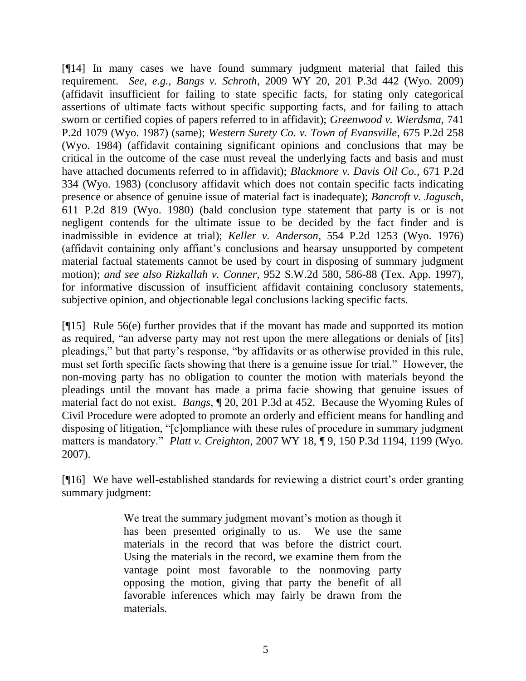[¶14] In many cases we have found summary judgment material that failed this requirement. *See, e.g., Bangs v. Schroth*, 2009 WY 20, 201 P.3d 442 (Wyo. 2009) (affidavit insufficient for failing to state specific facts, for stating only categorical assertions of ultimate facts without specific supporting facts, and for failing to attach sworn or certified copies of papers referred to in affidavit); *Greenwood v. Wierdsma,* 741 P.2d 1079 (Wyo. 1987) (same); *Western Surety Co. v. Town of Evansville*, 675 P.2d 258 (Wyo. 1984) (affidavit containing significant opinions and conclusions that may be critical in the outcome of the case must reveal the underlying facts and basis and must have attached documents referred to in affidavit); *Blackmore v. Davis Oil Co.*, 671 P.2d 334 (Wyo. 1983) (conclusory affidavit which does not contain specific facts indicating presence or absence of genuine issue of material fact is inadequate); *Bancroft v. Jagusch*, 611 P.2d 819 (Wyo. 1980) (bald conclusion type statement that party is or is not negligent contends for the ultimate issue to be decided by the fact finder and is inadmissible in evidence at trial); *Keller v. Anderson*, 554 P.2d 1253 (Wyo. 1976) (affidavit containing only affiant"s conclusions and hearsay unsupported by competent material factual statements cannot be used by court in disposing of summary judgment motion); *and see also Rizkallah v. Conner*, 952 S.W.2d 580, 586-88 (Tex. App. 1997), for informative discussion of insufficient affidavit containing conclusory statements, subjective opinion, and objectionable legal conclusions lacking specific facts.

[¶15] Rule 56(e) further provides that if the movant has made and supported its motion as required, "an adverse party may not rest upon the mere allegations or denials of [its] pleadings," but that party"s response, "by affidavits or as otherwise provided in this rule, must set forth specific facts showing that there is a genuine issue for trial." However, the non-moving party has no obligation to counter the motion with materials beyond the pleadings until the movant has made a prima facie showing that genuine issues of material fact do not exist. *Bangs*, ¶ 20, 201 P.3d at 452. Because the Wyoming Rules of Civil Procedure were adopted to promote an orderly and efficient means for handling and disposing of litigation, "[c]ompliance with these rules of procedure in summary judgment matters is mandatory." *Platt v. Creighton*, 2007 WY 18, ¶ 9, 150 P.3d 1194, 1199 (Wyo. 2007).

[¶16] We have well-established standards for reviewing a district court's order granting summary judgment:

> We treat the summary judgment movant's motion as though it has been presented originally to us. We use the same materials in the record that was before the district court. Using the materials in the record, we examine them from the vantage point most favorable to the nonmoving party opposing the motion, giving that party the benefit of all favorable inferences which may fairly be drawn from the materials.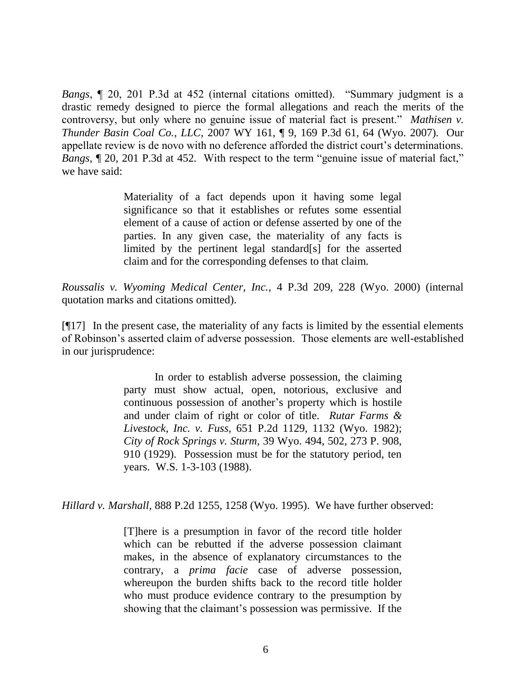*Bangs*, ¶ 20, 201 P.3d at 452 (internal citations omitted). "Summary judgment is a drastic remedy designed to pierce the formal allegations and reach the merits of the controversy, but only where no genuine issue of material fact is present." *Mathisen v. Thunder Basin Coal Co., LLC*, 2007 WY 161, ¶ 9, 169 P.3d 61, 64 (Wyo. 2007). Our appellate review is de novo with no deference afforded the district court's determinations. *Bangs*, ¶ 20, 201 P.3d at 452. With respect to the term "genuine issue of material fact," we have said:

> Materiality of a fact depends upon it having some legal significance so that it establishes or refutes some essential element of a cause of action or defense asserted by one of the parties. In any given case, the materiality of any facts is limited by the pertinent legal standard[s] for the asserted claim and for the corresponding defenses to that claim.

*Roussalis v. Wyoming Medical Center, Inc.,* 4 P.3d 209, 228 (Wyo. 2000) (internal quotation marks and citations omitted).

[¶17] In the present case, the materiality of any facts is limited by the essential elements of Robinson"s asserted claim of adverse possession. Those elements are well-established in our jurisprudence:

> In order to establish adverse possession, the claiming party must show actual, open, notorious, exclusive and continuous possession of another"s property which is hostile and under claim of right or color of title. *Rutar Farms & Livestock, Inc. v. Fuss,* 651 P.2d 1129, 1132 (Wyo. 1982); *City of Rock Springs v. Sturm,* 39 Wyo. 494, 502, 273 P. 908, 910 (1929). Possession must be for the statutory period, ten years. W.S. 1-3-103 (1988).

*Hillard v. Marshall*, 888 P.2d 1255, 1258 (Wyo. 1995). We have further observed:

[T]here is a presumption in favor of the record title holder which can be rebutted if the adverse possession claimant makes, in the absence of explanatory circumstances to the contrary, a *prima facie* case of adverse possession, whereupon the burden shifts back to the record title holder who must produce evidence contrary to the presumption by showing that the claimant's possession was permissive. If the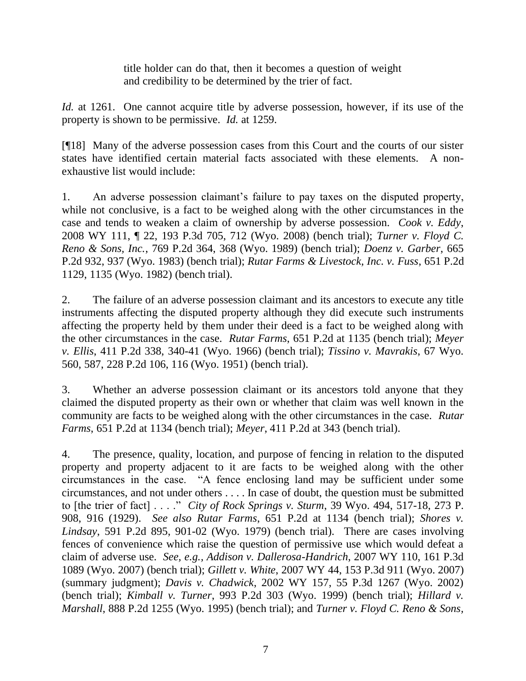title holder can do that, then it becomes a question of weight and credibility to be determined by the trier of fact.

*Id.* at 1261. One cannot acquire title by adverse possession, however, if its use of the property is shown to be permissive. *Id.* at 1259.

[¶18] Many of the adverse possession cases from this Court and the courts of our sister states have identified certain material facts associated with these elements. A nonexhaustive list would include:

1. An adverse possession claimant"s failure to pay taxes on the disputed property, while not conclusive, is a fact to be weighed along with the other circumstances in the case and tends to weaken a claim of ownership by adverse possession. *Cook v. Eddy*, 2008 WY 111, ¶ 22, 193 P.3d 705, 712 (Wyo. 2008) (bench trial); *Turner v. Floyd C. Reno & Sons, Inc.*, 769 P.2d 364, 368 (Wyo. 1989) (bench trial); *Doenz v. Garber*, 665 P.2d 932, 937 (Wyo. 1983) (bench trial); *Rutar Farms & Livestock, Inc. v. Fuss*, 651 P.2d 1129, 1135 (Wyo. 1982) (bench trial).

2. The failure of an adverse possession claimant and its ancestors to execute any title instruments affecting the disputed property although they did execute such instruments affecting the property held by them under their deed is a fact to be weighed along with the other circumstances in the case. *Rutar Farms*, 651 P.2d at 1135 (bench trial); *Meyer v. Ellis*, 411 P.2d 338, 340-41 (Wyo. 1966) (bench trial); *Tissino v. Mavrakis*, 67 Wyo. 560, 587, 228 P.2d 106, 116 (Wyo. 1951) (bench trial).

3. Whether an adverse possession claimant or its ancestors told anyone that they claimed the disputed property as their own or whether that claim was well known in the community are facts to be weighed along with the other circumstances in the case. *Rutar Farms*, 651 P.2d at 1134 (bench trial); *Meyer*, 411 P.2d at 343 (bench trial).

4. The presence, quality, location, and purpose of fencing in relation to the disputed property and property adjacent to it are facts to be weighed along with the other circumstances in the case. "A fence enclosing land may be sufficient under some circumstances, and not under others . . . . In case of doubt, the question must be submitted to [the trier of fact] . . . ." *City of Rock Springs v. Sturm*, 39 Wyo. 494, 517-18, 273 P. 908, 916 (1929). *See also Rutar Farms*, 651 P.2d at 1134 (bench trial); *Shores v. Lindsay*, 591 P.2d 895, 901-02 (Wyo. 1979) (bench trial). There are cases involving fences of convenience which raise the question of permissive use which would defeat a claim of adverse use. *See, e.g., Addison v. Dallerosa-Handrich*, 2007 WY 110, 161 P.3d 1089 (Wyo. 2007) (bench trial); *Gillett v. White*, 2007 WY 44, 153 P.3d 911 (Wyo. 2007) (summary judgment); *Davis v. Chadwick*, 2002 WY 157, 55 P.3d 1267 (Wyo. 2002) (bench trial); *Kimball v. Turner*, 993 P.2d 303 (Wyo. 1999) (bench trial); *Hillard v. Marshall*, 888 P.2d 1255 (Wyo. 1995) (bench trial); and *Turner v. Floyd C. Reno & Sons,*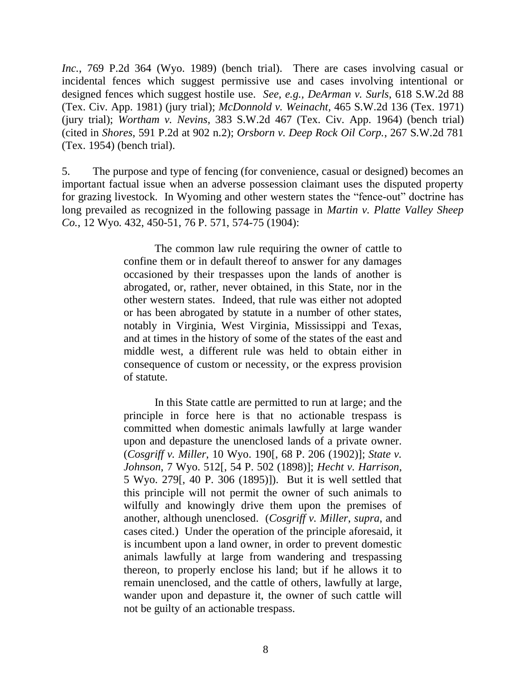*Inc.*, 769 P.2d 364 (Wyo. 1989) (bench trial). There are cases involving casual or incidental fences which suggest permissive use and cases involving intentional or designed fences which suggest hostile use. *See, e.g., DeArman v. Surls*, 618 S.W.2d 88 (Tex. Civ. App. 1981) (jury trial); *McDonnold v. Weinacht,* 465 S.W.2d 136 (Tex. 1971) (jury trial); *Wortham v. Nevins*, 383 S.W.2d 467 (Tex. Civ. App. 1964) (bench trial) (cited in *Shores*, 591 P.2d at 902 n.2); *Orsborn v. Deep Rock Oil Corp.*, 267 S.W.2d 781 (Tex. 1954) (bench trial).

5. The purpose and type of fencing (for convenience, casual or designed) becomes an important factual issue when an adverse possession claimant uses the disputed property for grazing livestock. In Wyoming and other western states the "fence-out" doctrine has long prevailed as recognized in the following passage in *Martin v. Platte Valley Sheep Co.*, 12 Wyo. 432, 450-51, 76 P. 571, 574-75 (1904):

> The common law rule requiring the owner of cattle to confine them or in default thereof to answer for any damages occasioned by their trespasses upon the lands of another is abrogated, or, rather, never obtained, in this State, nor in the other western states. Indeed, that rule was either not adopted or has been abrogated by statute in a number of other states, notably in Virginia, West Virginia, Mississippi and Texas, and at times in the history of some of the states of the east and middle west, a different rule was held to obtain either in consequence of custom or necessity, or the express provision of statute.

> In this State cattle are permitted to run at large; and the principle in force here is that no actionable trespass is committed when domestic animals lawfully at large wander upon and depasture the unenclosed lands of a private owner. (*Cosgriff v. Miller*, 10 Wyo. 190[, 68 P. 206 (1902)]; *State v. Johnson*, 7 Wyo. 512[, 54 P. 502 (1898)]; *Hecht v. Harrison*, 5 Wyo. 279[, 40 P. 306 (1895)]). But it is well settled that this principle will not permit the owner of such animals to wilfully and knowingly drive them upon the premises of another, although unenclosed. (*Cosgriff v. Miller*, *supra*, and cases cited.) Under the operation of the principle aforesaid, it is incumbent upon a land owner, in order to prevent domestic animals lawfully at large from wandering and trespassing thereon, to properly enclose his land; but if he allows it to remain unenclosed, and the cattle of others, lawfully at large, wander upon and depasture it, the owner of such cattle will not be guilty of an actionable trespass.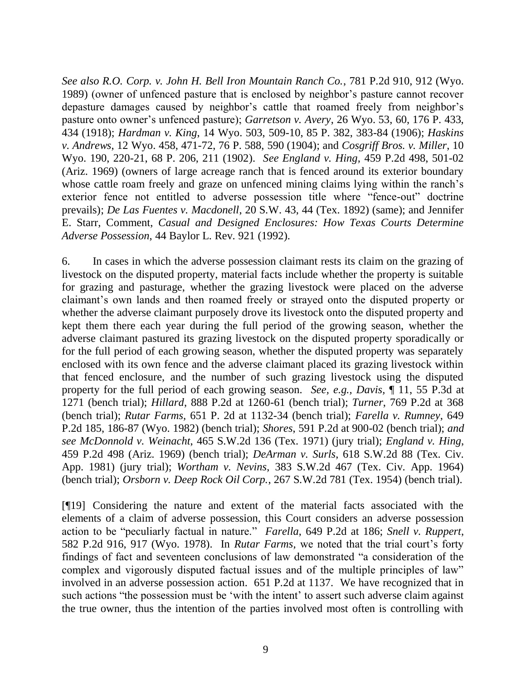*See also R.O. Corp. v. John H. Bell Iron Mountain Ranch Co.*, 781 P.2d 910, 912 (Wyo. 1989) (owner of unfenced pasture that is enclosed by neighbor"s pasture cannot recover depasture damages caused by neighbor's cattle that roamed freely from neighbor's pasture onto owner"s unfenced pasture); *Garretson v. Avery*, 26 Wyo. 53, 60, 176 P. 433, 434 (1918); *Hardman v. King*, 14 Wyo. 503, 509-10, 85 P. 382, 383-84 (1906); *Haskins v. Andrews*, 12 Wyo. 458, 471-72, 76 P. 588, 590 (1904); and *Cosgriff Bros. v. Miller*, 10 Wyo. 190, 220-21, 68 P. 206, 211 (1902). *See England v. Hing,* 459 P.2d 498, 501-02 (Ariz. 1969) (owners of large acreage ranch that is fenced around its exterior boundary whose cattle roam freely and graze on unfenced mining claims lying within the ranch's exterior fence not entitled to adverse possession title where "fence-out" doctrine prevails); *De Las Fuentes v. Macdonell*, 20 S.W. 43, 44 (Tex. 1892) (same); and Jennifer E. Starr, Comment, *Casual and Designed Enclosures: How Texas Courts Determine Adverse Possession*, 44 Baylor L. Rev. 921 (1992).

6. In cases in which the adverse possession claimant rests its claim on the grazing of livestock on the disputed property, material facts include whether the property is suitable for grazing and pasturage, whether the grazing livestock were placed on the adverse claimant"s own lands and then roamed freely or strayed onto the disputed property or whether the adverse claimant purposely drove its livestock onto the disputed property and kept them there each year during the full period of the growing season, whether the adverse claimant pastured its grazing livestock on the disputed property sporadically or for the full period of each growing season, whether the disputed property was separately enclosed with its own fence and the adverse claimant placed its grazing livestock within that fenced enclosure, and the number of such grazing livestock using the disputed property for the full period of each growing season. *See, e.g., Davis,* ¶ 11, 55 P.3d at 1271 (bench trial); *Hillard*, 888 P.2d at 1260-61 (bench trial); *Turner*, 769 P.2d at 368 (bench trial); *Rutar Farms,* 651 P. 2d at 1132-34 (bench trial); *Farella v. Rumney*, 649 P.2d 185, 186-87 (Wyo. 1982) (bench trial); *Shores*, 591 P.2d at 900-02 (bench trial); *and see McDonnold v. Weinacht*, 465 S.W.2d 136 (Tex. 1971) (jury trial); *England v. Hing*, 459 P.2d 498 (Ariz. 1969) (bench trial); *DeArman v. Surls*, 618 S.W.2d 88 (Tex. Civ. App. 1981) (jury trial); *Wortham v. Nevins*, 383 S.W.2d 467 (Tex. Civ. App. 1964) (bench trial); *Orsborn v. Deep Rock Oil Corp.*, 267 S.W.2d 781 (Tex. 1954) (bench trial).

[¶19] Considering the nature and extent of the material facts associated with the elements of a claim of adverse possession, this Court considers an adverse possession action to be "peculiarly factual in nature." *Farella*, 649 P.2d at 186; *Snell v. Ruppert*, 582 P.2d 916, 917 (Wyo. 1978). In *Rutar Farms,* we noted that the trial court"s forty findings of fact and seventeen conclusions of law demonstrated "a consideration of the complex and vigorously disputed factual issues and of the multiple principles of law" involved in an adverse possession action. 651 P.2d at 1137. We have recognized that in such actions "the possession must be 'with the intent' to assert such adverse claim against the true owner, thus the intention of the parties involved most often is controlling with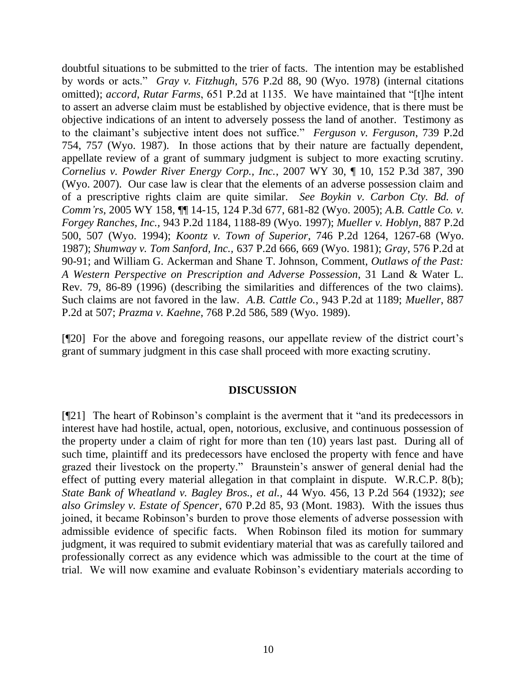doubtful situations to be submitted to the trier of facts. The intention may be established by words or acts." *Gray v. Fitzhugh*, 576 P.2d 88, 90 (Wyo. 1978) (internal citations omitted); *accord*, *Rutar Farms*, 651 P.2d at 1135. We have maintained that "[t]he intent to assert an adverse claim must be established by objective evidence, that is there must be objective indications of an intent to adversely possess the land of another. Testimony as to the claimant"s subjective intent does not suffice." *Ferguson v. Ferguson*, 739 P.2d 754, 757 (Wyo. 1987). In those actions that by their nature are factually dependent, appellate review of a grant of summary judgment is subject to more exacting scrutiny. *Cornelius v. Powder River Energy Corp., Inc.*, 2007 WY 30, ¶ 10, 152 P.3d 387, 390 (Wyo. 2007). Our case law is clear that the elements of an adverse possession claim and of a prescriptive rights claim are quite similar. *See Boykin v. Carbon Cty. Bd. of Comm'rs*, 2005 WY 158, ¶¶ 14-15, 124 P.3d 677, 681-82 (Wyo. 2005); *A.B. Cattle Co. v. Forgey Ranches, Inc.,* 943 P.2d 1184, 1188-89 (Wyo. 1997); *Mueller v. Hoblyn*, 887 P.2d 500, 507 (Wyo. 1994); *Koontz v. Town of Superior*, 746 P.2d 1264, 1267-68 (Wyo. 1987); *Shumway v. Tom Sanford, Inc.,* 637 P.2d 666, 669 (Wyo. 1981); *Gray*, 576 P.2d at 90-91; and William G. Ackerman and Shane T. Johnson, Comment, *Outlaws of the Past: A Western Perspective on Prescription and Adverse Possession*, 31 Land & Water L. Rev. 79, 86-89 (1996) (describing the similarities and differences of the two claims). Such claims are not favored in the law. *A.B. Cattle Co.*, 943 P.2d at 1189; *Mueller*, 887 P.2d at 507; *Prazma v. Kaehne*, 768 P.2d 586, 589 (Wyo. 1989).

[¶20] For the above and foregoing reasons, our appellate review of the district court"s grant of summary judgment in this case shall proceed with more exacting scrutiny.

#### **DISCUSSION**

[¶21] The heart of Robinson"s complaint is the averment that it "and its predecessors in interest have had hostile, actual, open, notorious, exclusive, and continuous possession of the property under a claim of right for more than ten (10) years last past. During all of such time, plaintiff and its predecessors have enclosed the property with fence and have grazed their livestock on the property." Braunstein"s answer of general denial had the effect of putting every material allegation in that complaint in dispute. W.R.C.P. 8(b); *State Bank of Wheatland v. Bagley Bros., et al.,* 44 Wyo. 456, 13 P.2d 564 (1932); *see also Grimsley v. Estate of Spencer*, 670 P.2d 85, 93 (Mont. 1983). With the issues thus joined, it became Robinson"s burden to prove those elements of adverse possession with admissible evidence of specific facts. When Robinson filed its motion for summary judgment, it was required to submit evidentiary material that was as carefully tailored and professionally correct as any evidence which was admissible to the court at the time of trial. We will now examine and evaluate Robinson"s evidentiary materials according to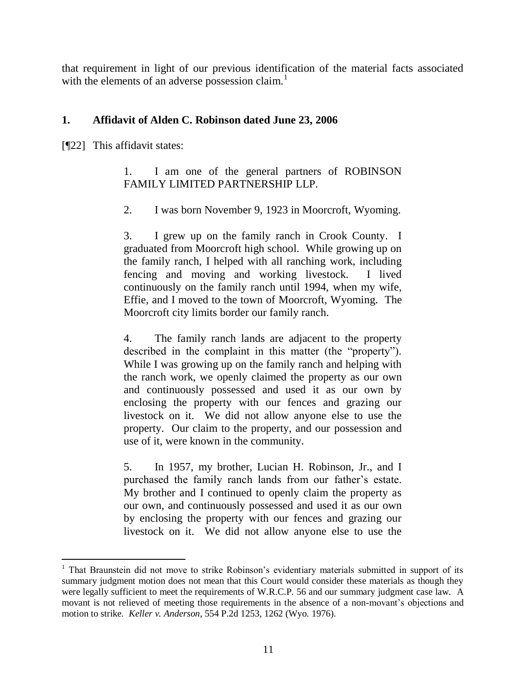that requirement in light of our previous identification of the material facts associated with the elements of an adverse possession claim.<sup>1</sup>

# **1. Affidavit of Alden C. Robinson dated June 23, 2006**

[¶22] This affidavit states:

 $\overline{a}$ 

1. I am one of the general partners of ROBINSON FAMILY LIMITED PARTNERSHIP LLP.

2. I was born November 9, 1923 in Moorcroft, Wyoming.

3. I grew up on the family ranch in Crook County. I graduated from Moorcroft high school. While growing up on the family ranch, I helped with all ranching work, including fencing and moving and working livestock. I lived continuously on the family ranch until 1994, when my wife, Effie, and I moved to the town of Moorcroft, Wyoming. The Moorcroft city limits border our family ranch.

4. The family ranch lands are adjacent to the property described in the complaint in this matter (the "property"). While I was growing up on the family ranch and helping with the ranch work, we openly claimed the property as our own and continuously possessed and used it as our own by enclosing the property with our fences and grazing our livestock on it. We did not allow anyone else to use the property. Our claim to the property, and our possession and use of it, were known in the community.

5. In 1957, my brother, Lucian H. Robinson, Jr., and I purchased the family ranch lands from our father"s estate. My brother and I continued to openly claim the property as our own, and continuously possessed and used it as our own by enclosing the property with our fences and grazing our livestock on it. We did not allow anyone else to use the

<sup>&</sup>lt;sup>1</sup> That Braunstein did not move to strike Robinson's evidentiary materials submitted in support of its summary judgment motion does not mean that this Court would consider these materials as though they were legally sufficient to meet the requirements of W.R.C.P. 56 and our summary judgment case law. A movant is not relieved of meeting those requirements in the absence of a non-movant's objections and motion to strike. *Keller v. Anderson*, 554 P.2d 1253, 1262 (Wyo. 1976).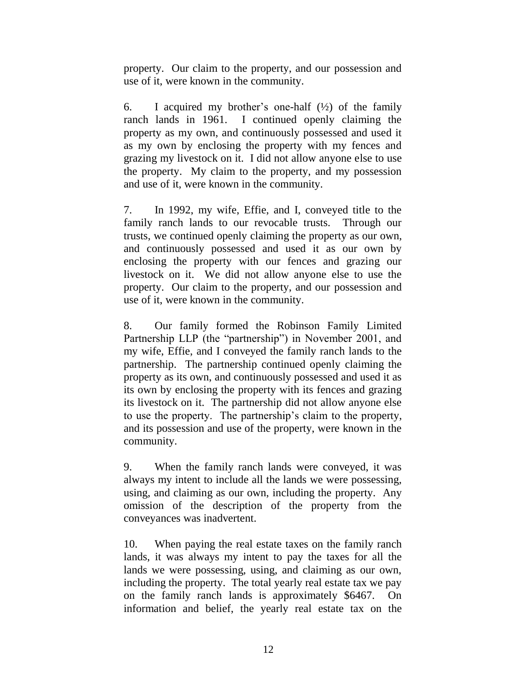property. Our claim to the property, and our possession and use of it, were known in the community.

6. I acquired my brother's one-half  $(\frac{1}{2})$  of the family ranch lands in 1961. I continued openly claiming the property as my own, and continuously possessed and used it as my own by enclosing the property with my fences and grazing my livestock on it. I did not allow anyone else to use the property. My claim to the property, and my possession and use of it, were known in the community.

7. In 1992, my wife, Effie, and I, conveyed title to the family ranch lands to our revocable trusts. Through our trusts, we continued openly claiming the property as our own, and continuously possessed and used it as our own by enclosing the property with our fences and grazing our livestock on it. We did not allow anyone else to use the property. Our claim to the property, and our possession and use of it, were known in the community.

8. Our family formed the Robinson Family Limited Partnership LLP (the "partnership") in November 2001, and my wife, Effie, and I conveyed the family ranch lands to the partnership. The partnership continued openly claiming the property as its own, and continuously possessed and used it as its own by enclosing the property with its fences and grazing its livestock on it. The partnership did not allow anyone else to use the property. The partnership"s claim to the property, and its possession and use of the property, were known in the community.

9. When the family ranch lands were conveyed, it was always my intent to include all the lands we were possessing, using, and claiming as our own, including the property. Any omission of the description of the property from the conveyances was inadvertent.

10. When paying the real estate taxes on the family ranch lands, it was always my intent to pay the taxes for all the lands we were possessing, using, and claiming as our own, including the property. The total yearly real estate tax we pay on the family ranch lands is approximately \$6467. On information and belief, the yearly real estate tax on the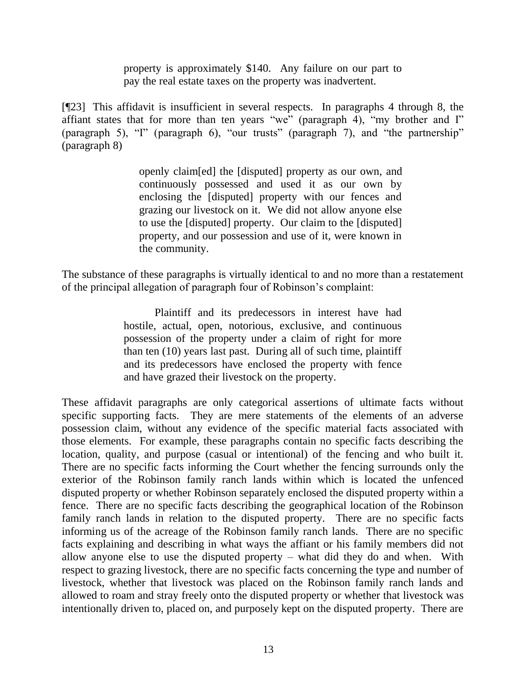property is approximately \$140. Any failure on our part to pay the real estate taxes on the property was inadvertent.

[¶23] This affidavit is insufficient in several respects. In paragraphs 4 through 8, the affiant states that for more than ten years "we" (paragraph 4), "my brother and I" (paragraph 5), "I" (paragraph 6), "our trusts" (paragraph 7), and "the partnership" (paragraph 8)

> openly claim[ed] the [disputed] property as our own, and continuously possessed and used it as our own by enclosing the [disputed] property with our fences and grazing our livestock on it. We did not allow anyone else to use the [disputed] property. Our claim to the [disputed] property, and our possession and use of it, were known in the community.

The substance of these paragraphs is virtually identical to and no more than a restatement of the principal allegation of paragraph four of Robinson"s complaint:

> Plaintiff and its predecessors in interest have had hostile, actual, open, notorious, exclusive, and continuous possession of the property under a claim of right for more than ten (10) years last past. During all of such time, plaintiff and its predecessors have enclosed the property with fence and have grazed their livestock on the property.

These affidavit paragraphs are only categorical assertions of ultimate facts without specific supporting facts. They are mere statements of the elements of an adverse possession claim, without any evidence of the specific material facts associated with those elements. For example, these paragraphs contain no specific facts describing the location, quality, and purpose (casual or intentional) of the fencing and who built it. There are no specific facts informing the Court whether the fencing surrounds only the exterior of the Robinson family ranch lands within which is located the unfenced disputed property or whether Robinson separately enclosed the disputed property within a fence. There are no specific facts describing the geographical location of the Robinson family ranch lands in relation to the disputed property. There are no specific facts informing us of the acreage of the Robinson family ranch lands. There are no specific facts explaining and describing in what ways the affiant or his family members did not allow anyone else to use the disputed property – what did they do and when. With respect to grazing livestock, there are no specific facts concerning the type and number of livestock, whether that livestock was placed on the Robinson family ranch lands and allowed to roam and stray freely onto the disputed property or whether that livestock was intentionally driven to, placed on, and purposely kept on the disputed property. There are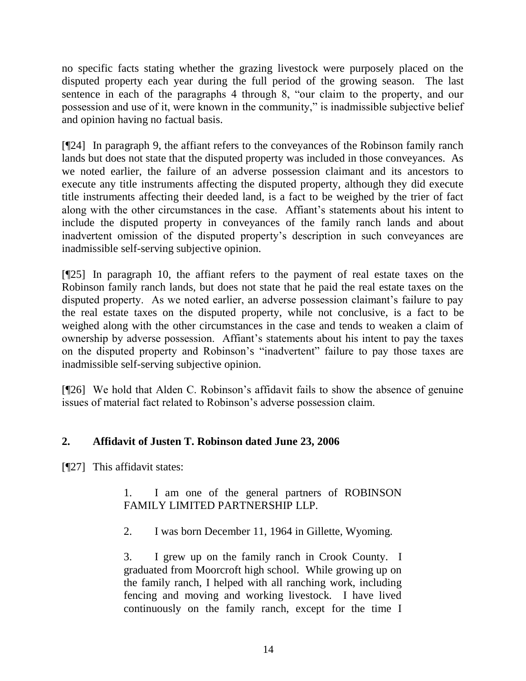no specific facts stating whether the grazing livestock were purposely placed on the disputed property each year during the full period of the growing season. The last sentence in each of the paragraphs 4 through 8, "our claim to the property, and our possession and use of it, were known in the community," is inadmissible subjective belief and opinion having no factual basis.

[¶24] In paragraph 9, the affiant refers to the conveyances of the Robinson family ranch lands but does not state that the disputed property was included in those conveyances. As we noted earlier, the failure of an adverse possession claimant and its ancestors to execute any title instruments affecting the disputed property, although they did execute title instruments affecting their deeded land, is a fact to be weighed by the trier of fact along with the other circumstances in the case. Affiant"s statements about his intent to include the disputed property in conveyances of the family ranch lands and about inadvertent omission of the disputed property's description in such conveyances are inadmissible self-serving subjective opinion.

[¶25] In paragraph 10, the affiant refers to the payment of real estate taxes on the Robinson family ranch lands, but does not state that he paid the real estate taxes on the disputed property. As we noted earlier, an adverse possession claimant's failure to pay the real estate taxes on the disputed property, while not conclusive, is a fact to be weighed along with the other circumstances in the case and tends to weaken a claim of ownership by adverse possession. Affiant"s statements about his intent to pay the taxes on the disputed property and Robinson"s "inadvertent" failure to pay those taxes are inadmissible self-serving subjective opinion.

[¶26] We hold that Alden C. Robinson's affidavit fails to show the absence of genuine issues of material fact related to Robinson"s adverse possession claim.

# **2. Affidavit of Justen T. Robinson dated June 23, 2006**

[¶27] This affidavit states:

# 1. I am one of the general partners of ROBINSON FAMILY LIMITED PARTNERSHIP LLP.

2. I was born December 11, 1964 in Gillette, Wyoming.

3. I grew up on the family ranch in Crook County. I graduated from Moorcroft high school. While growing up on the family ranch, I helped with all ranching work, including fencing and moving and working livestock. I have lived continuously on the family ranch, except for the time I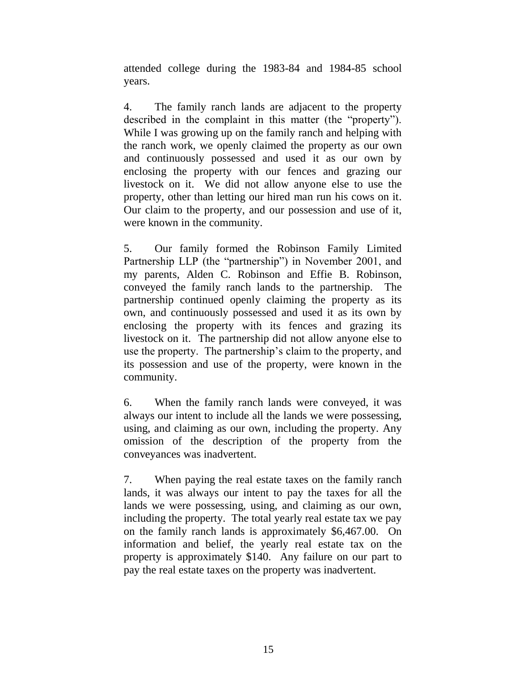attended college during the 1983-84 and 1984-85 school years.

4. The family ranch lands are adjacent to the property described in the complaint in this matter (the "property"). While I was growing up on the family ranch and helping with the ranch work, we openly claimed the property as our own and continuously possessed and used it as our own by enclosing the property with our fences and grazing our livestock on it. We did not allow anyone else to use the property, other than letting our hired man run his cows on it. Our claim to the property, and our possession and use of it, were known in the community.

5. Our family formed the Robinson Family Limited Partnership LLP (the "partnership") in November 2001, and my parents, Alden C. Robinson and Effie B. Robinson, conveyed the family ranch lands to the partnership. The partnership continued openly claiming the property as its own, and continuously possessed and used it as its own by enclosing the property with its fences and grazing its livestock on it. The partnership did not allow anyone else to use the property. The partnership's claim to the property, and its possession and use of the property, were known in the community.

6. When the family ranch lands were conveyed, it was always our intent to include all the lands we were possessing, using, and claiming as our own, including the property. Any omission of the description of the property from the conveyances was inadvertent.

7. When paying the real estate taxes on the family ranch lands, it was always our intent to pay the taxes for all the lands we were possessing, using, and claiming as our own, including the property. The total yearly real estate tax we pay on the family ranch lands is approximately \$6,467.00. On information and belief, the yearly real estate tax on the property is approximately \$140. Any failure on our part to pay the real estate taxes on the property was inadvertent.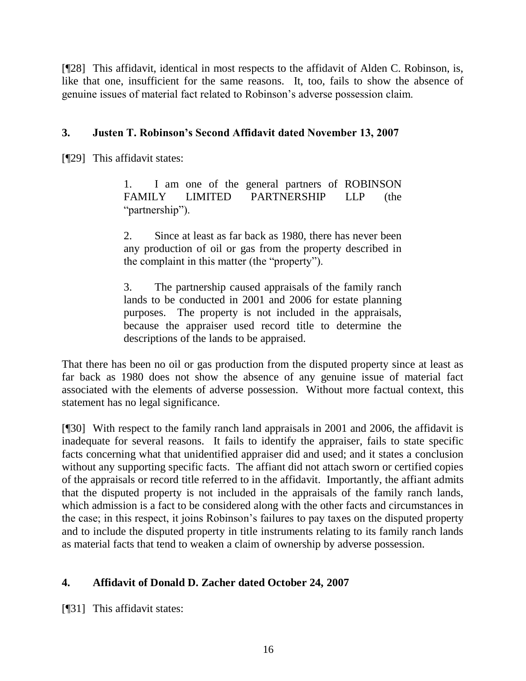[¶28] This affidavit, identical in most respects to the affidavit of Alden C. Robinson, is, like that one, insufficient for the same reasons. It, too, fails to show the absence of genuine issues of material fact related to Robinson"s adverse possession claim.

# **3. Justen T. Robinson's Second Affidavit dated November 13, 2007**

[¶29] This affidavit states:

1. I am one of the general partners of ROBINSON FAMILY LIMITED PARTNERSHIP LLP (the "partnership").

2. Since at least as far back as 1980, there has never been any production of oil or gas from the property described in the complaint in this matter (the "property").

3. The partnership caused appraisals of the family ranch lands to be conducted in 2001 and 2006 for estate planning purposes. The property is not included in the appraisals, because the appraiser used record title to determine the descriptions of the lands to be appraised.

That there has been no oil or gas production from the disputed property since at least as far back as 1980 does not show the absence of any genuine issue of material fact associated with the elements of adverse possession. Without more factual context, this statement has no legal significance.

[¶30] With respect to the family ranch land appraisals in 2001 and 2006, the affidavit is inadequate for several reasons. It fails to identify the appraiser, fails to state specific facts concerning what that unidentified appraiser did and used; and it states a conclusion without any supporting specific facts. The affiant did not attach sworn or certified copies of the appraisals or record title referred to in the affidavit. Importantly, the affiant admits that the disputed property is not included in the appraisals of the family ranch lands, which admission is a fact to be considered along with the other facts and circumstances in the case; in this respect, it joins Robinson"s failures to pay taxes on the disputed property and to include the disputed property in title instruments relating to its family ranch lands as material facts that tend to weaken a claim of ownership by adverse possession.

## **4. Affidavit of Donald D. Zacher dated October 24, 2007**

[¶31] This affidavit states: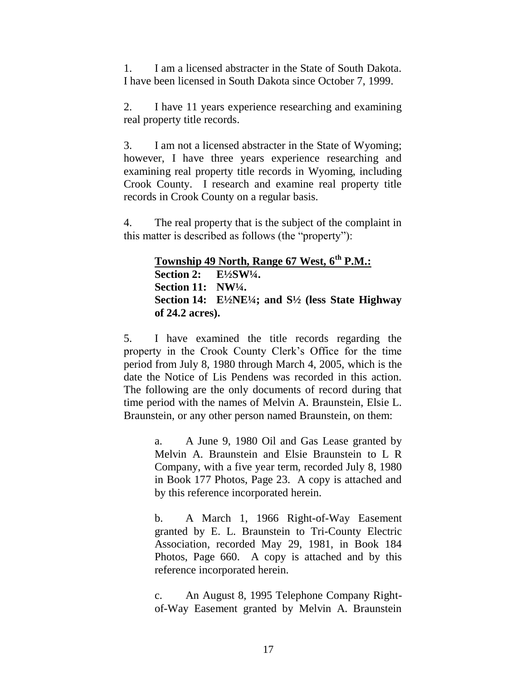1. I am a licensed abstracter in the State of South Dakota. I have been licensed in South Dakota since October 7, 1999.

2. I have 11 years experience researching and examining real property title records.

3. I am not a licensed abstracter in the State of Wyoming; however, I have three years experience researching and examining real property title records in Wyoming, including Crook County. I research and examine real property title records in Crook County on a regular basis.

4. The real property that is the subject of the complaint in this matter is described as follows (the "property"):

> **Township 49 North, Range 67 West, 6th P.M.: Section 2: E½SW¼. Section 11: NW¼. Section 14: E½NE¼; and S½ (less State Highway of 24.2 acres).**

5. I have examined the title records regarding the property in the Crook County Clerk"s Office for the time period from July 8, 1980 through March 4, 2005, which is the date the Notice of Lis Pendens was recorded in this action. The following are the only documents of record during that time period with the names of Melvin A. Braunstein, Elsie L. Braunstein, or any other person named Braunstein, on them:

> a. A June 9, 1980 Oil and Gas Lease granted by Melvin A. Braunstein and Elsie Braunstein to L R Company, with a five year term, recorded July 8, 1980 in Book 177 Photos, Page 23. A copy is attached and by this reference incorporated herein.

> b. A March 1, 1966 Right-of-Way Easement granted by E. L. Braunstein to Tri-County Electric Association, recorded May 29, 1981, in Book 184 Photos, Page 660. A copy is attached and by this reference incorporated herein.

> c. An August 8, 1995 Telephone Company Rightof-Way Easement granted by Melvin A. Braunstein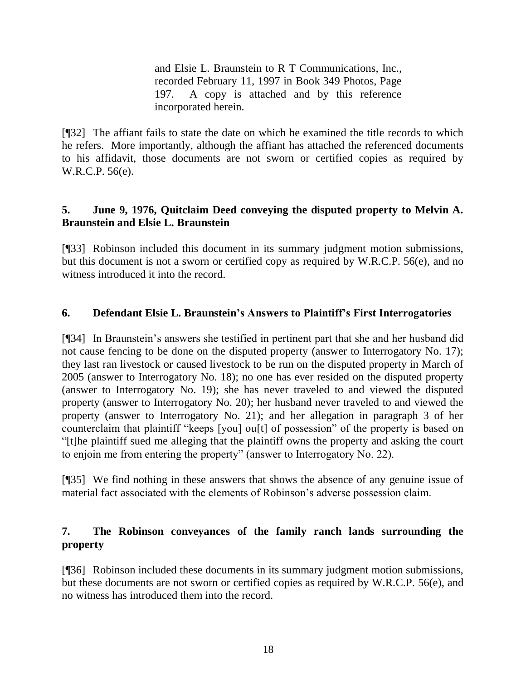and Elsie L. Braunstein to R T Communications, Inc., recorded February 11, 1997 in Book 349 Photos, Page 197. A copy is attached and by this reference incorporated herein.

[¶32] The affiant fails to state the date on which he examined the title records to which he refers. More importantly, although the affiant has attached the referenced documents to his affidavit, those documents are not sworn or certified copies as required by W.R.C.P. 56(e).

# **5. June 9, 1976, Quitclaim Deed conveying the disputed property to Melvin A. Braunstein and Elsie L. Braunstein**

[¶33] Robinson included this document in its summary judgment motion submissions, but this document is not a sworn or certified copy as required by W.R.C.P. 56(e), and no witness introduced it into the record.

## **6. Defendant Elsie L. Braunstein's Answers to Plaintiff's First Interrogatories**

[¶34] In Braunstein"s answers she testified in pertinent part that she and her husband did not cause fencing to be done on the disputed property (answer to Interrogatory No. 17); they last ran livestock or caused livestock to be run on the disputed property in March of 2005 (answer to Interrogatory No. 18); no one has ever resided on the disputed property (answer to Interrogatory No. 19); she has never traveled to and viewed the disputed property (answer to Interrogatory No. 20); her husband never traveled to and viewed the property (answer to Interrogatory No. 21); and her allegation in paragraph 3 of her counterclaim that plaintiff "keeps [you] ou[t] of possession" of the property is based on "[t]he plaintiff sued me alleging that the plaintiff owns the property and asking the court to enjoin me from entering the property" (answer to Interrogatory No. 22).

[¶35] We find nothing in these answers that shows the absence of any genuine issue of material fact associated with the elements of Robinson"s adverse possession claim.

# **7. The Robinson conveyances of the family ranch lands surrounding the property**

[¶36] Robinson included these documents in its summary judgment motion submissions, but these documents are not sworn or certified copies as required by W.R.C.P. 56(e), and no witness has introduced them into the record.